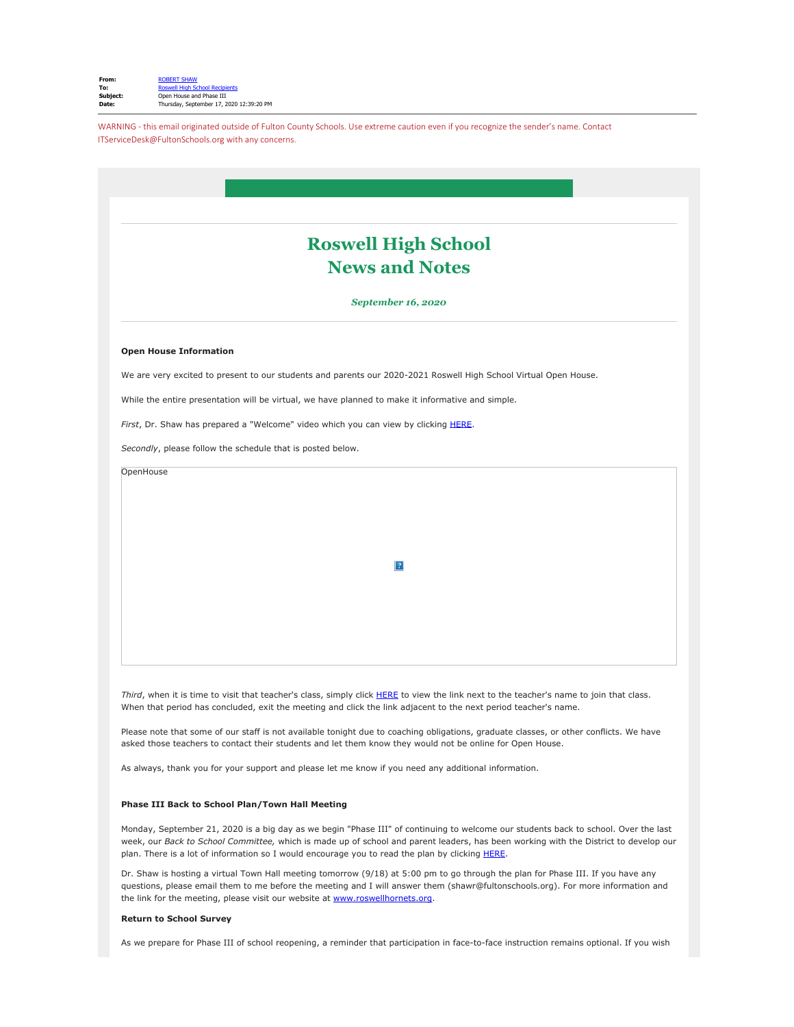WARNING - this email originated outside of Fulton County Schools. Use extreme caution even if you recognize the sender's name. Contact ITServiceDesk@FultonSchools.org with any concerns.

|                                                            | <b>Roswell High School</b>                                                                                                                                                                                                                                 |
|------------------------------------------------------------|------------------------------------------------------------------------------------------------------------------------------------------------------------------------------------------------------------------------------------------------------------|
| <b>News and Notes</b><br>September 16, 2020                |                                                                                                                                                                                                                                                            |
|                                                            |                                                                                                                                                                                                                                                            |
|                                                            | We are very excited to present to our students and parents our 2020-2021 Roswell High School Virtual Open House.                                                                                                                                           |
|                                                            | While the entire presentation will be virtual, we have planned to make it informative and simple.                                                                                                                                                          |
|                                                            | First, Dr. Shaw has prepared a "Welcome" video which you can view by clicking HERE.                                                                                                                                                                        |
| Secondly, please follow the schedule that is posted below. |                                                                                                                                                                                                                                                            |
|                                                            | ?                                                                                                                                                                                                                                                          |
|                                                            |                                                                                                                                                                                                                                                            |
|                                                            | Third, when it is time to visit that teacher's class, simply click HERE to view the link next to the teacher's name to join that class.<br>When that period has concluded, exit the meeting and click the link adjacent to the next period teacher's name. |
|                                                            | Please note that some of our staff is not available tonight due to coaching obligations, graduate classes, or other conflicts. We have<br>asked those teachers to contact their students and let them know they would not be online for Open House.        |
|                                                            | As always, thank you for your support and please let me know if you need any additional information.                                                                                                                                                       |
|                                                            |                                                                                                                                                                                                                                                            |

Dr. Shaw is hosting a virtual Town Hall meeting tomorrow (9/18) at 5:00 pm to go through the plan for Phase III. If you have any questions, please email them to me before the meeting and I will answer them (shawr@fultonschools.org). For more information and the link for the meeting, please visit our website at **www.roswellhornets.org.** 

## **Return to School Survey**

As we prepare for Phase III of school reopening, a reminder that participation in face-to-face instruction remains optional. If you wish